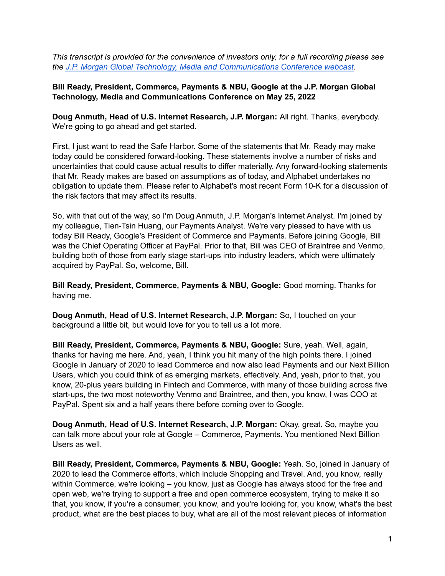*This transcript is provided for the convenience of investors only, for a full recording please see the J.P. Morgan Global Technology, Media and [Communications](https://jpmorgan.metameetings.net/events/tmc22/general_signin) Conference webcast.*

**Bill Ready, President, Commerce, Payments & NBU, Google at the J.P. Morgan Global Technology, Media and Communications Conference on May 25, 2022**

**Doug Anmuth, Head of U.S. Internet Research, J.P. Morgan:** All right. Thanks, everybody. We're going to go ahead and get started.

First, I just want to read the Safe Harbor. Some of the statements that Mr. Ready may make today could be considered forward-looking. These statements involve a number of risks and uncertainties that could cause actual results to differ materially. Any forward-looking statements that Mr. Ready makes are based on assumptions as of today, and Alphabet undertakes no obligation to update them. Please refer to Alphabet's most recent Form 10-K for a discussion of the risk factors that may affect its results.

So, with that out of the way, so I'm Doug Anmuth, J.P. Morgan's Internet Analyst. I'm joined by my colleague, Tien-Tsin Huang, our Payments Analyst. We're very pleased to have with us today Bill Ready, Google's President of Commerce and Payments. Before joining Google, Bill was the Chief Operating Officer at PayPal. Prior to that, Bill was CEO of Braintree and Venmo, building both of those from early stage start-ups into industry leaders, which were ultimately acquired by PayPal. So, welcome, Bill.

**Bill Ready, President, Commerce, Payments & NBU, Google:** Good morning. Thanks for having me.

**Doug Anmuth, Head of U.S. Internet Research, J.P. Morgan:** So, I touched on your background a little bit, but would love for you to tell us a lot more.

**Bill Ready, President, Commerce, Payments & NBU, Google:** Sure, yeah. Well, again, thanks for having me here. And, yeah, I think you hit many of the high points there. I joined Google in January of 2020 to lead Commerce and now also lead Payments and our Next Billion Users, which you could think of as emerging markets, effectively. And, yeah, prior to that, you know, 20-plus years building in Fintech and Commerce, with many of those building across five start-ups, the two most noteworthy Venmo and Braintree, and then, you know, I was COO at PayPal. Spent six and a half years there before coming over to Google.

**Doug Anmuth, Head of U.S. Internet Research, J.P. Morgan:** Okay, great. So, maybe you can talk more about your role at Google – Commerce, Payments. You mentioned Next Billion Users as well.

**Bill Ready, President, Commerce, Payments & NBU, Google:** Yeah. So, joined in January of 2020 to lead the Commerce efforts, which include Shopping and Travel. And, you know, really within Commerce, we're looking – you know, just as Google has always stood for the free and open web, we're trying to support a free and open commerce ecosystem, trying to make it so that, you know, if you're a consumer, you know, and you're looking for, you know, what's the best product, what are the best places to buy, what are all of the most relevant pieces of information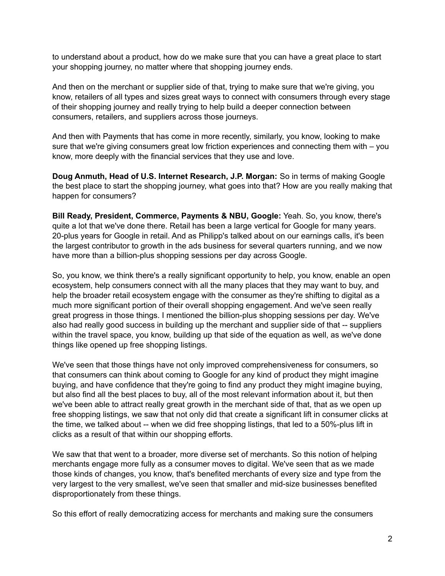to understand about a product, how do we make sure that you can have a great place to start your shopping journey, no matter where that shopping journey ends.

And then on the merchant or supplier side of that, trying to make sure that we're giving, you know, retailers of all types and sizes great ways to connect with consumers through every stage of their shopping journey and really trying to help build a deeper connection between consumers, retailers, and suppliers across those journeys.

And then with Payments that has come in more recently, similarly, you know, looking to make sure that we're giving consumers great low friction experiences and connecting them with – you know, more deeply with the financial services that they use and love.

**Doug Anmuth, Head of U.S. Internet Research, J.P. Morgan:** So in terms of making Google the best place to start the shopping journey, what goes into that? How are you really making that happen for consumers?

**Bill Ready, President, Commerce, Payments & NBU, Google:** Yeah. So, you know, there's quite a lot that we've done there. Retail has been a large vertical for Google for many years. 20-plus years for Google in retail. And as Philipp's talked about on our earnings calls, it's been the largest contributor to growth in the ads business for several quarters running, and we now have more than a billion-plus shopping sessions per day across Google.

So, you know, we think there's a really significant opportunity to help, you know, enable an open ecosystem, help consumers connect with all the many places that they may want to buy, and help the broader retail ecosystem engage with the consumer as they're shifting to digital as a much more significant portion of their overall shopping engagement. And we've seen really great progress in those things. I mentioned the billion-plus shopping sessions per day. We've also had really good success in building up the merchant and supplier side of that -- suppliers within the travel space, you know, building up that side of the equation as well, as we've done things like opened up free shopping listings.

We've seen that those things have not only improved comprehensiveness for consumers, so that consumers can think about coming to Google for any kind of product they might imagine buying, and have confidence that they're going to find any product they might imagine buying, but also find all the best places to buy, all of the most relevant information about it, but then we've been able to attract really great growth in the merchant side of that, that as we open up free shopping listings, we saw that not only did that create a significant lift in consumer clicks at the time, we talked about -- when we did free shopping listings, that led to a 50%-plus lift in clicks as a result of that within our shopping efforts.

We saw that that went to a broader, more diverse set of merchants. So this notion of helping merchants engage more fully as a consumer moves to digital. We've seen that as we made those kinds of changes, you know, that's benefited merchants of every size and type from the very largest to the very smallest, we've seen that smaller and mid-size businesses benefited disproportionately from these things.

So this effort of really democratizing access for merchants and making sure the consumers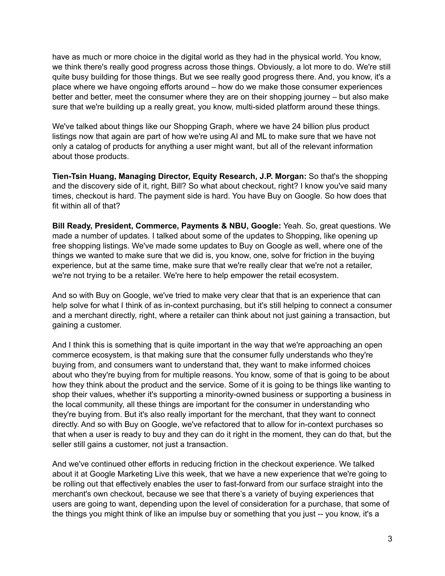have as much or more choice in the digital world as they had in the physical world. You know, we think there's really good progress across those things. Obviously, a lot more to do. We're still quite busy building for those things. But we see really good progress there. And, you know, it's a place where we have ongoing efforts around – how do we make those consumer experiences better and better, meet the consumer where they are on their shopping journey – but also make sure that we're building up a really great, you know, multi-sided platform around these things.

We've talked about things like our Shopping Graph, where we have 24 billion plus product listings now that again are part of how we're using AI and ML to make sure that we have not only a catalog of products for anything a user might want, but all of the relevant information about those products.

**Tien-Tsin Huang, Managing Director, Equity Research, J.P. Morgan:** So that's the shopping and the discovery side of it, right, Bill? So what about checkout, right? I know you've said many times, checkout is hard. The payment side is hard. You have Buy on Google. So how does that fit within all of that?

**Bill Ready, President, Commerce, Payments & NBU, Google:** Yeah. So, great questions. We made a number of updates. I talked about some of the updates to Shopping, like opening up free shopping listings. We've made some updates to Buy on Google as well, where one of the things we wanted to make sure that we did is, you know, one, solve for friction in the buying experience, but at the same time, make sure that we're really clear that we're not a retailer, we're not trying to be a retailer. We're here to help empower the retail ecosystem.

And so with Buy on Google, we've tried to make very clear that that is an experience that can help solve for what I think of as in-context purchasing, but it's still helping to connect a consumer and a merchant directly, right, where a retailer can think about not just gaining a transaction, but gaining a customer.

And I think this is something that is quite important in the way that we're approaching an open commerce ecosystem, is that making sure that the consumer fully understands who they're buying from, and consumers want to understand that, they want to make informed choices about who they're buying from for multiple reasons. You know, some of that is going to be about how they think about the product and the service. Some of it is going to be things like wanting to shop their values, whether it's supporting a minority-owned business or supporting a business in the local community, all these things are important for the consumer in understanding who they're buying from. But it's also really important for the merchant, that they want to connect directly. And so with Buy on Google, we've refactored that to allow for in-context purchases so that when a user is ready to buy and they can do it right in the moment, they can do that, but the seller still gains a customer, not just a transaction.

And we've continued other efforts in reducing friction in the checkout experience. We talked about it at Google Marketing Live this week, that we have a new experience that we're going to be rolling out that effectively enables the user to fast-forward from our surface straight into the merchant's own checkout, because we see that there's a variety of buying experiences that users are going to want, depending upon the level of consideration for a purchase, that some of the things you might think of like an impulse buy or something that you just -- you know, it's a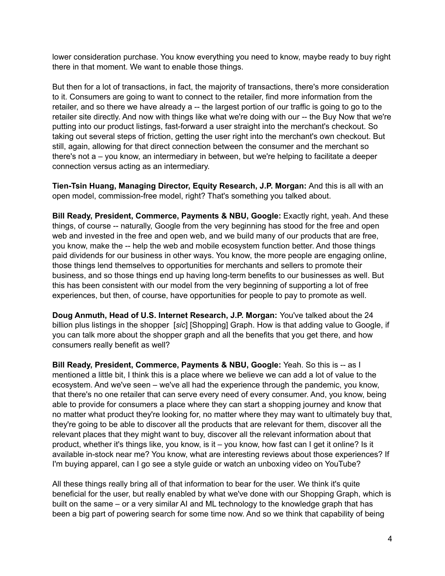lower consideration purchase. You know everything you need to know, maybe ready to buy right there in that moment. We want to enable those things.

But then for a lot of transactions, in fact, the majority of transactions, there's more consideration to it. Consumers are going to want to connect to the retailer, find more information from the retailer, and so there we have already a -- the largest portion of our traffic is going to go to the retailer site directly. And now with things like what we're doing with our -- the Buy Now that we're putting into our product listings, fast-forward a user straight into the merchant's checkout. So taking out several steps of friction, getting the user right into the merchant's own checkout. But still, again, allowing for that direct connection between the consumer and the merchant so there's not a – you know, an intermediary in between, but we're helping to facilitate a deeper connection versus acting as an intermediary.

**Tien-Tsin Huang, Managing Director, Equity Research, J.P. Morgan:** And this is all with an open model, commission-free model, right? That's something you talked about.

**Bill Ready, President, Commerce, Payments & NBU, Google:** Exactly right, yeah. And these things, of course -- naturally, Google from the very beginning has stood for the free and open web and invested in the free and open web, and we build many of our products that are free, you know, make the -- help the web and mobile ecosystem function better. And those things paid dividends for our business in other ways. You know, the more people are engaging online, those things lend themselves to opportunities for merchants and sellers to promote their business, and so those things end up having long-term benefits to our businesses as well. But this has been consistent with our model from the very beginning of supporting a lot of free experiences, but then, of course, have opportunities for people to pay to promote as well.

**Doug Anmuth, Head of U.S. Internet Research, J.P. Morgan:** You've talked about the 24 billion plus listings in the shopper [*sic*] [Shopping] Graph. How is that adding value to Google, if you can talk more about the shopper graph and all the benefits that you get there, and how consumers really benefit as well?

**Bill Ready, President, Commerce, Payments & NBU, Google:** Yeah. So this is -- as I mentioned a little bit, I think this is a place where we believe we can add a lot of value to the ecosystem. And we've seen – we've all had the experience through the pandemic, you know, that there's no one retailer that can serve every need of every consumer. And, you know, being able to provide for consumers a place where they can start a shopping journey and know that no matter what product they're looking for, no matter where they may want to ultimately buy that, they're going to be able to discover all the products that are relevant for them, discover all the relevant places that they might want to buy, discover all the relevant information about that product, whether it's things like, you know, is it – you know, how fast can I get it online? Is it available in-stock near me? You know, what are interesting reviews about those experiences? If I'm buying apparel, can I go see a style guide or watch an unboxing video on YouTube?

All these things really bring all of that information to bear for the user. We think it's quite beneficial for the user, but really enabled by what we've done with our Shopping Graph, which is built on the same – or a very similar AI and ML technology to the knowledge graph that has been a big part of powering search for some time now. And so we think that capability of being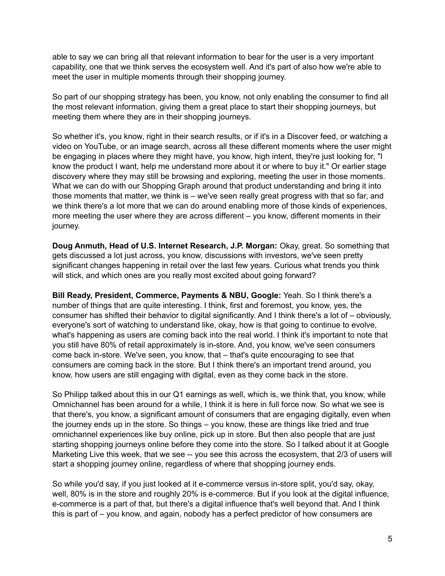able to say we can bring all that relevant information to bear for the user is a very important capability, one that we think serves the ecosystem well. And it's part of also how we're able to meet the user in multiple moments through their shopping journey.

So part of our shopping strategy has been, you know, not only enabling the consumer to find all the most relevant information, giving them a great place to start their shopping journeys, but meeting them where they are in their shopping journeys.

So whether it's, you know, right in their search results, or if it's in a Discover feed, or watching a video on YouTube, or an image search, across all these different moments where the user might be engaging in places where they might have, you know, high intent, they're just looking for, "I know the product I want, help me understand more about it or where to buy it." Or earlier stage discovery where they may still be browsing and exploring, meeting the user in those moments. What we can do with our Shopping Graph around that product understanding and bring it into those moments that matter, we think is – we've seen really great progress with that so far, and we think there's a lot more that we can do around enabling more of those kinds of experiences, more meeting the user where they are across different – you know, different moments in their journey.

**Doug Anmuth, Head of U.S. Internet Research, J.P. Morgan:** Okay, great. So something that gets discussed a lot just across, you know, discussions with investors, we've seen pretty significant changes happening in retail over the last few years. Curious what trends you think will stick, and which ones are you really most excited about going forward?

**Bill Ready, President, Commerce, Payments & NBU, Google:** Yeah. So I think there's a number of things that are quite interesting. I think, first and foremost, you know, yes, the consumer has shifted their behavior to digital significantly. And I think there's a lot of – obviously, everyone's sort of watching to understand like, okay, how is that going to continue to evolve, what's happening as users are coming back into the real world. I think it's important to note that you still have 80% of retail approximately is in-store. And, you know, we've seen consumers come back in-store. We've seen, you know, that – that's quite encouraging to see that consumers are coming back in the store. But I think there's an important trend around, you know, how users are still engaging with digital, even as they come back in the store.

So Philipp talked about this in our Q1 earnings as well, which is, we think that, you know, while Omnichannel has been around for a while, I think it is here in full force now. So what we see is that there's, you know, a significant amount of consumers that are engaging digitally, even when the journey ends up in the store. So things – you know, these are things like tried and true omnichannel experiences like buy online, pick up in store. But then also people that are just starting shopping journeys online before they come into the store. So I talked about it at Google Marketing Live this week, that we see -- you see this across the ecosystem, that 2/3 of users will start a shopping journey online, regardless of where that shopping journey ends.

So while you'd say, if you just looked at it e-commerce versus in-store split, you'd say, okay, well, 80% is in the store and roughly 20% is e-commerce. But if you look at the digital influence, e-commerce is a part of that, but there's a digital influence that's well beyond that. And I think this is part of – you know, and again, nobody has a perfect predictor of how consumers are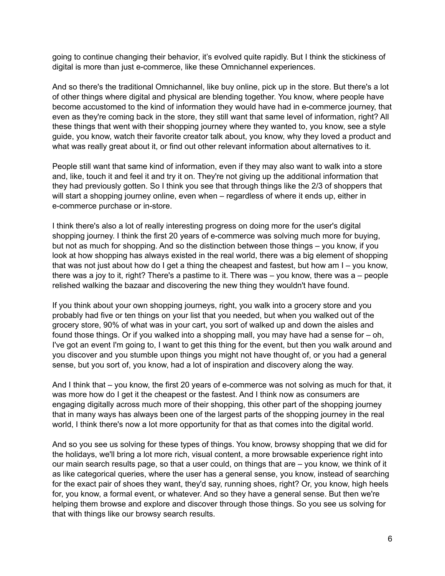going to continue changing their behavior, it's evolved quite rapidly. But I think the stickiness of digital is more than just e-commerce, like these Omnichannel experiences.

And so there's the traditional Omnichannel, like buy online, pick up in the store. But there's a lot of other things where digital and physical are blending together. You know, where people have become accustomed to the kind of information they would have had in e-commerce journey, that even as they're coming back in the store, they still want that same level of information, right? All these things that went with their shopping journey where they wanted to, you know, see a style guide, you know, watch their favorite creator talk about, you know, why they loved a product and what was really great about it, or find out other relevant information about alternatives to it.

People still want that same kind of information, even if they may also want to walk into a store and, like, touch it and feel it and try it on. They're not giving up the additional information that they had previously gotten. So I think you see that through things like the 2/3 of shoppers that will start a shopping journey online, even when – regardless of where it ends up, either in e-commerce purchase or in-store.

I think there's also a lot of really interesting progress on doing more for the user's digital shopping journey. I think the first 20 years of e-commerce was solving much more for buying, but not as much for shopping. And so the distinction between those things – you know, if you look at how shopping has always existed in the real world, there was a big element of shopping that was not just about how do I get a thing the cheapest and fastest, but how am I – you know, there was a joy to it, right? There's a pastime to it. There was – you know, there was a – people relished walking the bazaar and discovering the new thing they wouldn't have found.

If you think about your own shopping journeys, right, you walk into a grocery store and you probably had five or ten things on your list that you needed, but when you walked out of the grocery store, 90% of what was in your cart, you sort of walked up and down the aisles and found those things. Or if you walked into a shopping mall, you may have had a sense for – oh, I've got an event I'm going to, I want to get this thing for the event, but then you walk around and you discover and you stumble upon things you might not have thought of, or you had a general sense, but you sort of, you know, had a lot of inspiration and discovery along the way.

And I think that – you know, the first 20 years of e-commerce was not solving as much for that, it was more how do I get it the cheapest or the fastest. And I think now as consumers are engaging digitally across much more of their shopping, this other part of the shopping journey that in many ways has always been one of the largest parts of the shopping journey in the real world, I think there's now a lot more opportunity for that as that comes into the digital world.

And so you see us solving for these types of things. You know, browsy shopping that we did for the holidays, we'll bring a lot more rich, visual content, a more browsable experience right into our main search results page, so that a user could, on things that are – you know, we think of it as like categorical queries, where the user has a general sense, you know, instead of searching for the exact pair of shoes they want, they'd say, running shoes, right? Or, you know, high heels for, you know, a formal event, or whatever. And so they have a general sense. But then we're helping them browse and explore and discover through those things. So you see us solving for that with things like our browsy search results.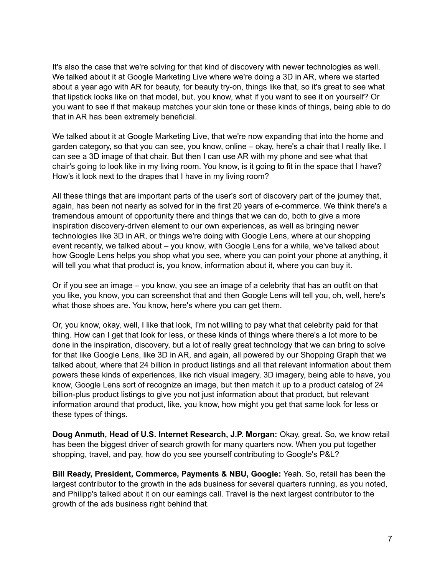It's also the case that we're solving for that kind of discovery with newer technologies as well. We talked about it at Google Marketing Live where we're doing a 3D in AR, where we started about a year ago with AR for beauty, for beauty try-on, things like that, so it's great to see what that lipstick looks like on that model, but, you know, what if you want to see it on yourself? Or you want to see if that makeup matches your skin tone or these kinds of things, being able to do that in AR has been extremely beneficial.

We talked about it at Google Marketing Live, that we're now expanding that into the home and garden category, so that you can see, you know, online – okay, here's a chair that I really like. I can see a 3D image of that chair. But then I can use AR with my phone and see what that chair's going to look like in my living room. You know, is it going to fit in the space that I have? How's it look next to the drapes that I have in my living room?

All these things that are important parts of the user's sort of discovery part of the journey that, again, has been not nearly as solved for in the first 20 years of e-commerce. We think there's a tremendous amount of opportunity there and things that we can do, both to give a more inspiration discovery-driven element to our own experiences, as well as bringing newer technologies like 3D in AR, or things we're doing with Google Lens, where at our shopping event recently, we talked about – you know, with Google Lens for a while, we've talked about how Google Lens helps you shop what you see, where you can point your phone at anything, it will tell you what that product is, you know, information about it, where you can buy it.

Or if you see an image – you know, you see an image of a celebrity that has an outfit on that you like, you know, you can screenshot that and then Google Lens will tell you, oh, well, here's what those shoes are. You know, here's where you can get them.

Or, you know, okay, well, I like that look, I'm not willing to pay what that celebrity paid for that thing. How can I get that look for less, or these kinds of things where there's a lot more to be done in the inspiration, discovery, but a lot of really great technology that we can bring to solve for that like Google Lens, like 3D in AR, and again, all powered by our Shopping Graph that we talked about, where that 24 billion in product listings and all that relevant information about them powers these kinds of experiences, like rich visual imagery, 3D imagery, being able to have, you know, Google Lens sort of recognize an image, but then match it up to a product catalog of 24 billion-plus product listings to give you not just information about that product, but relevant information around that product, like, you know, how might you get that same look for less or these types of things.

**Doug Anmuth, Head of U.S. Internet Research, J.P. Morgan:** Okay, great. So, we know retail has been the biggest driver of search growth for many quarters now. When you put together shopping, travel, and pay, how do you see yourself contributing to Google's P&L?

**Bill Ready, President, Commerce, Payments & NBU, Google:** Yeah. So, retail has been the largest contributor to the growth in the ads business for several quarters running, as you noted, and Philipp's talked about it on our earnings call. Travel is the next largest contributor to the growth of the ads business right behind that.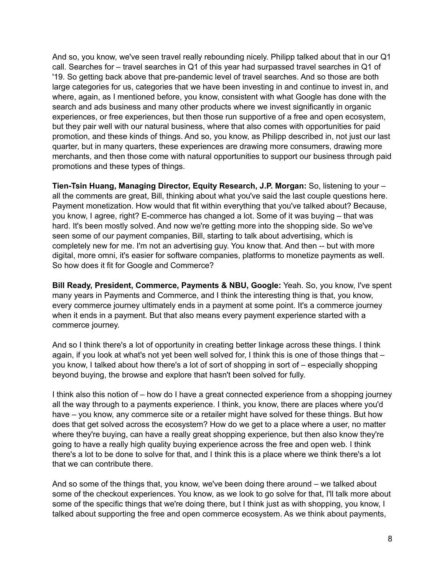And so, you know, we've seen travel really rebounding nicely. Philipp talked about that in our Q1 call. Searches for – travel searches in Q1 of this year had surpassed travel searches in Q1 of '19. So getting back above that pre-pandemic level of travel searches. And so those are both large categories for us, categories that we have been investing in and continue to invest in, and where, again, as I mentioned before, you know, consistent with what Google has done with the search and ads business and many other products where we invest significantly in organic experiences, or free experiences, but then those run supportive of a free and open ecosystem, but they pair well with our natural business, where that also comes with opportunities for paid promotion, and these kinds of things. And so, you know, as Philipp described in, not just our last quarter, but in many quarters, these experiences are drawing more consumers, drawing more merchants, and then those come with natural opportunities to support our business through paid promotions and these types of things.

**Tien-Tsin Huang, Managing Director, Equity Research, J.P. Morgan:** So, listening to your – all the comments are great, Bill, thinking about what you've said the last couple questions here. Payment monetization. How would that fit within everything that you've talked about? Because, you know, I agree, right? E-commerce has changed a lot. Some of it was buying – that was hard. It's been mostly solved. And now we're getting more into the shopping side. So we've seen some of our payment companies, Bill, starting to talk about advertising, which is completely new for me. I'm not an advertising guy. You know that. And then -- but with more digital, more omni, it's easier for software companies, platforms to monetize payments as well. So how does it fit for Google and Commerce?

**Bill Ready, President, Commerce, Payments & NBU, Google:** Yeah. So, you know, I've spent many years in Payments and Commerce, and I think the interesting thing is that, you know, every commerce journey ultimately ends in a payment at some point. It's a commerce journey when it ends in a payment. But that also means every payment experience started with a commerce journey.

And so I think there's a lot of opportunity in creating better linkage across these things. I think again, if you look at what's not yet been well solved for, I think this is one of those things that – you know, I talked about how there's a lot of sort of shopping in sort of – especially shopping beyond buying, the browse and explore that hasn't been solved for fully.

I think also this notion of – how do I have a great connected experience from a shopping journey all the way through to a payments experience. I think, you know, there are places where you'd have – you know, any commerce site or a retailer might have solved for these things. But how does that get solved across the ecosystem? How do we get to a place where a user, no matter where they're buying, can have a really great shopping experience, but then also know they're going to have a really high quality buying experience across the free and open web. I think there's a lot to be done to solve for that, and I think this is a place where we think there's a lot that we can contribute there.

And so some of the things that, you know, we've been doing there around – we talked about some of the checkout experiences. You know, as we look to go solve for that, I'll talk more about some of the specific things that we're doing there, but I think just as with shopping, you know, I talked about supporting the free and open commerce ecosystem. As we think about payments,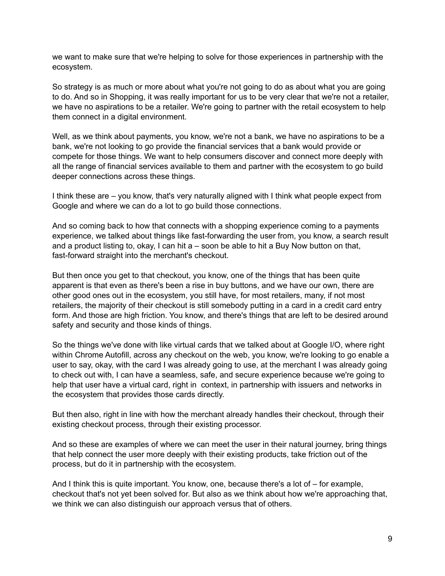we want to make sure that we're helping to solve for those experiences in partnership with the ecosystem.

So strategy is as much or more about what you're not going to do as about what you are going to do. And so in Shopping, it was really important for us to be very clear that we're not a retailer, we have no aspirations to be a retailer. We're going to partner with the retail ecosystem to help them connect in a digital environment.

Well, as we think about payments, you know, we're not a bank, we have no aspirations to be a bank, we're not looking to go provide the financial services that a bank would provide or compete for those things. We want to help consumers discover and connect more deeply with all the range of financial services available to them and partner with the ecosystem to go build deeper connections across these things.

I think these are – you know, that's very naturally aligned with I think what people expect from Google and where we can do a lot to go build those connections.

And so coming back to how that connects with a shopping experience coming to a payments experience, we talked about things like fast-forwarding the user from, you know, a search result and a product listing to, okay, I can hit a – soon be able to hit a Buy Now button on that, fast-forward straight into the merchant's checkout.

But then once you get to that checkout, you know, one of the things that has been quite apparent is that even as there's been a rise in buy buttons, and we have our own, there are other good ones out in the ecosystem, you still have, for most retailers, many, if not most retailers, the majority of their checkout is still somebody putting in a card in a credit card entry form. And those are high friction. You know, and there's things that are left to be desired around safety and security and those kinds of things.

So the things we've done with like virtual cards that we talked about at Google I/O, where right within Chrome Autofill, across any checkout on the web, you know, we're looking to go enable a user to say, okay, with the card I was already going to use, at the merchant I was already going to check out with, I can have a seamless, safe, and secure experience because we're going to help that user have a virtual card, right in context, in partnership with issuers and networks in the ecosystem that provides those cards directly.

But then also, right in line with how the merchant already handles their checkout, through their existing checkout process, through their existing processor.

And so these are examples of where we can meet the user in their natural journey, bring things that help connect the user more deeply with their existing products, take friction out of the process, but do it in partnership with the ecosystem.

And I think this is quite important. You know, one, because there's a lot of – for example, checkout that's not yet been solved for. But also as we think about how we're approaching that, we think we can also distinguish our approach versus that of others.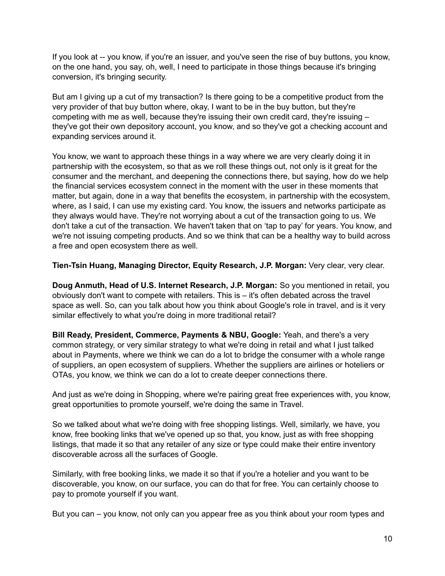If you look at -- you know, if you're an issuer, and you've seen the rise of buy buttons, you know, on the one hand, you say, oh, well, I need to participate in those things because it's bringing conversion, it's bringing security.

But am I giving up a cut of my transaction? Is there going to be a competitive product from the very provider of that buy button where, okay, I want to be in the buy button, but they're competing with me as well, because they're issuing their own credit card, they're issuing – they've got their own depository account, you know, and so they've got a checking account and expanding services around it.

You know, we want to approach these things in a way where we are very clearly doing it in partnership with the ecosystem, so that as we roll these things out, not only is it great for the consumer and the merchant, and deepening the connections there, but saying, how do we help the financial services ecosystem connect in the moment with the user in these moments that matter, but again, done in a way that benefits the ecosystem, in partnership with the ecosystem, where, as I said, I can use my existing card. You know, the issuers and networks participate as they always would have. They're not worrying about a cut of the transaction going to us. We don't take a cut of the transaction. We haven't taken that on 'tap to pay' for years. You know, and we're not issuing competing products. And so we think that can be a healthy way to build across a free and open ecosystem there as well.

**Tien-Tsin Huang, Managing Director, Equity Research, J.P. Morgan:** Very clear, very clear.

**Doug Anmuth, Head of U.S. Internet Research, J.P. Morgan:** So you mentioned in retail, you obviously don't want to compete with retailers. This is – it's often debated across the travel space as well. So, can you talk about how you think about Google's role in travel, and is it very similar effectively to what you're doing in more traditional retail?

**Bill Ready, President, Commerce, Payments & NBU, Google:** Yeah, and there's a very common strategy, or very similar strategy to what we're doing in retail and what I just talked about in Payments, where we think we can do a lot to bridge the consumer with a whole range of suppliers, an open ecosystem of suppliers. Whether the suppliers are airlines or hoteliers or OTAs, you know, we think we can do a lot to create deeper connections there.

And just as we're doing in Shopping, where we're pairing great free experiences with, you know, great opportunities to promote yourself, we're doing the same in Travel.

So we talked about what we're doing with free shopping listings. Well, similarly, we have, you know, free booking links that we've opened up so that, you know, just as with free shopping listings, that made it so that any retailer of any size or type could make their entire inventory discoverable across all the surfaces of Google.

Similarly, with free booking links, we made it so that if you're a hotelier and you want to be discoverable, you know, on our surface, you can do that for free. You can certainly choose to pay to promote yourself if you want.

But you can – you know, not only can you appear free as you think about your room types and